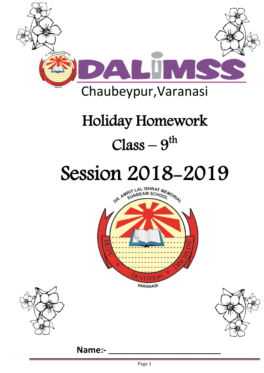

# Holiday Homework  $Class - 9<sup>th</sup>$

# Session 2018-2019







**Name:-**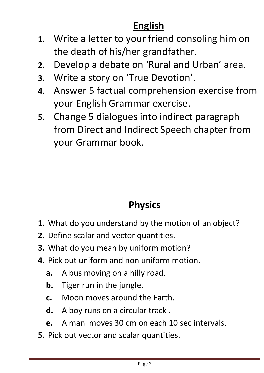# **English**

- **1.** Write a letter to your friend consoling him on the death of his/her grandfather.
- **2.** Develop a debate on 'Rural and Urban' area.
- **3.** Write a story on 'True Devotion'.
- **4.** Answer 5 factual comprehension exercise from your English Grammar exercise.
- **5.** Change 5 dialogues into indirect paragraph from Direct and Indirect Speech chapter from your Grammar book.

# **Physics**

- **1.** What do you understand by the motion of an object?
- **2.** Define scalar and vector quantities.
- **3.** What do you mean by uniform motion?
- **4.** Pick out uniform and non uniform motion.
	- **a.** A bus moving on a hilly road.
	- **b.** Tiger run in the jungle.
	- **c.** Moon moves around the Earth.
	- **d.** A boy runs on a circular track .
	- **e.** A man moves 30 cm on each 10 sec intervals.
- **5.** Pick out vector and scalar quantities.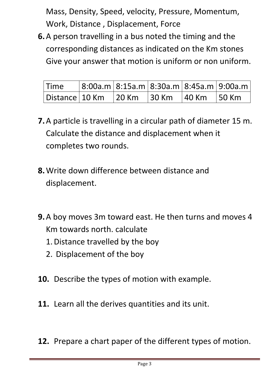Mass, Density, Speed, velocity, Pressure, Momentum, Work, Distance , Displacement, Force

**6.**A person travelling in a bus noted the timing and the corresponding distances as indicated on the Km stones Give your answer that motion is uniform or non uniform.

| Time                                                                                   |  | $ 8:00$ a.m $ 8:15$ a.m $ 8:30$ a.m $ 8:45$ a.m $ 9:00$ a.m |  |
|----------------------------------------------------------------------------------------|--|-------------------------------------------------------------|--|
| $\vert$ Distance $\vert$ 10 Km $\vert$ 20 Km $\vert$ 30 Km $\vert$ 40 Km $\vert$ 50 Km |  |                                                             |  |

- **7.**A particle is travelling in a circular path of diameter 15 m. Calculate the distance and displacement when it completes two rounds.
- **8.**Write down difference between distance and displacement.
- **9.**A boy moves 3m toward east. He then turns and moves 4 Km towards north. calculate
	- 1.Distance travelled by the boy
	- 2. Displacement of the boy
- **10.** Describe the types of motion with example.
- **11.** Learn all the derives quantities and its unit.
- **12.** Prepare a chart paper of the different types of motion.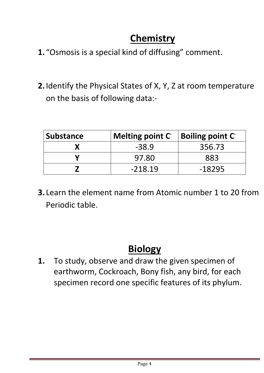## **Chemistry**

- **1.** "Osmosis is a special kind of diffusing" comment.
- **2.**Identify the Physical States of X, Y, Z at room temperature on the basis of following data:-

| <b>Substance</b> | Melting point C | Boiling point C |  |
|------------------|-----------------|-----------------|--|
|                  | $-38.9$         | 356.73          |  |
|                  | 97.80           | 883             |  |
|                  | $-218.19$       | $-18295$        |  |

**3.** Learn the element name from Atomic number 1 to 20 from Periodic table.

#### **Biology**

**1.** To study, observe and draw the given specimen of earthworm, Cockroach, Bony fish, any bird, for each specimen record one specific features of its phylum.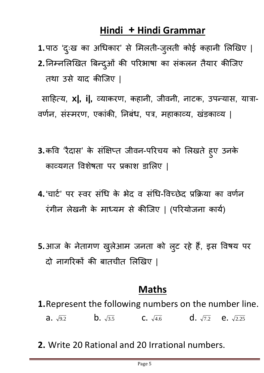#### **Hindi + Hindi Grammar**

**1.**पाठ 'दुःख का अधिकार' से मिलती-जुलती कोई कहानी लिखिए | **2.**निम्नलिखित बिन्दुओं की परिभाषा का संकलन तैयार कीजिए तथा उसे याद कीजजए |

साहहत्य, **x|, i|,** व्याकरण, कहानी, जीवनी, नाटक, उऩन्यास, यात्रा- वर्णन, संस्मरण, एकांकी, निबंध, पत्र, महाकाव्य, खंडकाव्य |

- **3.**कवि 'रैदास' के संक्षिप्त जीवन-परिचय को लिखते हुए उनके काव्यगत विशेषता पर प्रकाश डालिए |
- 4.'चार्ट' पर स्वर संधि के भेद व संधि-विच्छेद प्रक्रिया का वर्णन रंगीन लेखनी के माध्यम से कीजिए | (परियोजना कार्य)
- **5.**आज के नेतागण खुलेआम जनता को लुट रहे हैं, इस विषय पर दो नागरिकों की बातचीत लिखिए |

#### **Maths**

- **1.**Represent the following numbers on the number line. **a.**  $\sqrt{9.2}$ **b.**  $\sqrt{3.5}$  **c.**  $\sqrt{4.6}$  **d.**  $\sqrt{7.2}$  **e.**  $\sqrt{2.25}$
- **2.** Write 20 Rational and 20 Irrational numbers.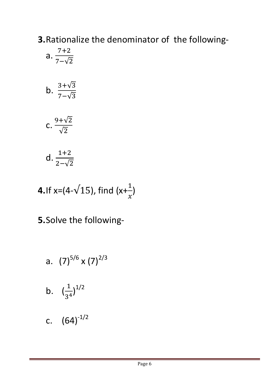#### **3.**Rationalize the denominator of the following-

a. 
$$
\frac{7+2}{7-\sqrt{2}}
$$
  
\nb. 
$$
\frac{3+\sqrt{3}}{7-\sqrt{3}}
$$
  
\nc. 
$$
\frac{9+\sqrt{2}}{\sqrt{2}}
$$
  
\nd. 
$$
\frac{1+2}{2-\sqrt{2}}
$$

**4.** If 
$$
x=(4-\sqrt{15})
$$
, find  $(x+\frac{1}{x})$ 

**5.**Solve the following-

a. 
$$
(7)^{5/6} \times (7)^{2/3}
$$

b. 
$$
\left(\frac{1}{3^4}\right)^{1/2}
$$

c. 
$$
(64)^{-1/2}
$$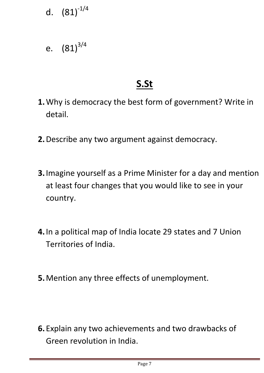- d.  $(81)^{-1/4}$
- e.  $(81)^{3/4}$

# **S.St**

- **1.**Why is democracy the best form of government? Write in detail.
- **2.**Describe any two argument against democracy.
- **3.**Imagine yourself as a Prime Minister for a day and mention at least four changes that you would like to see in your country.
- **4.**In a political map of India locate 29 states and 7 Union Territories of India.
- **5.**Mention any three effects of unemployment.

**6.** Explain any two achievements and two drawbacks of Green revolution in India.